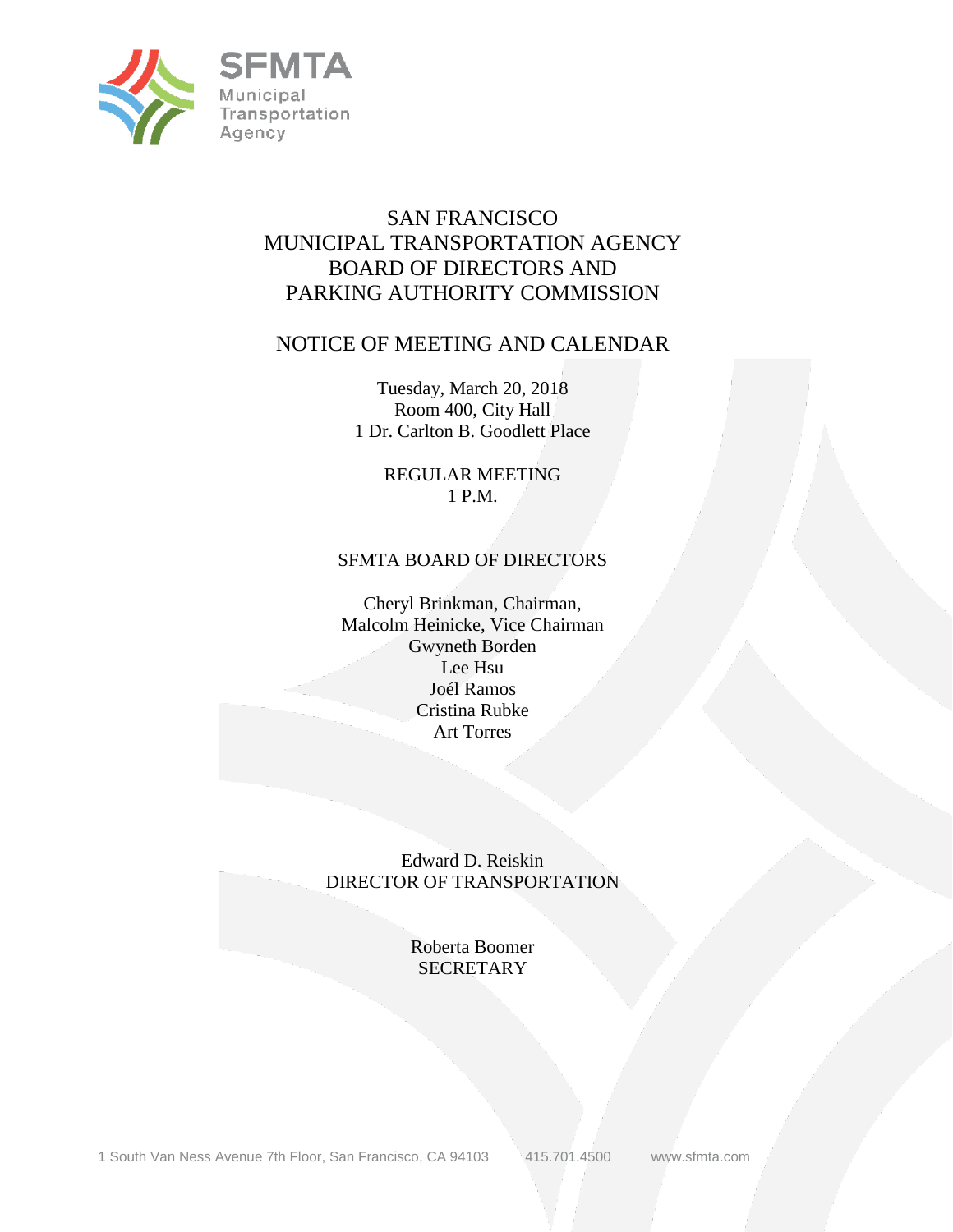

# SAN FRANCISCO MUNICIPAL TRANSPORTATION AGENCY BOARD OF DIRECTORS AND PARKING AUTHORITY COMMISSION

# NOTICE OF MEETING AND CALENDAR

Tuesday, March 20, 2018 Room 400, City Hall 1 Dr. Carlton B. Goodlett Place

> REGULAR MEETING 1 P.M.

## SFMTA BOARD OF DIRECTORS

Cheryl Brinkman, Chairman, Malcolm Heinicke, Vice Chairman Gwyneth Borden Lee Hsu Joél Ramos Cristina Rubke Art Torres

Edward D. Reiskin DIRECTOR OF TRANSPORTATION

> Roberta Boomer **SECRETARY**

1 South Van Ness Avenue 7th Floor, San Francisco, CA 94103 415.701.4500 www.sfmta.com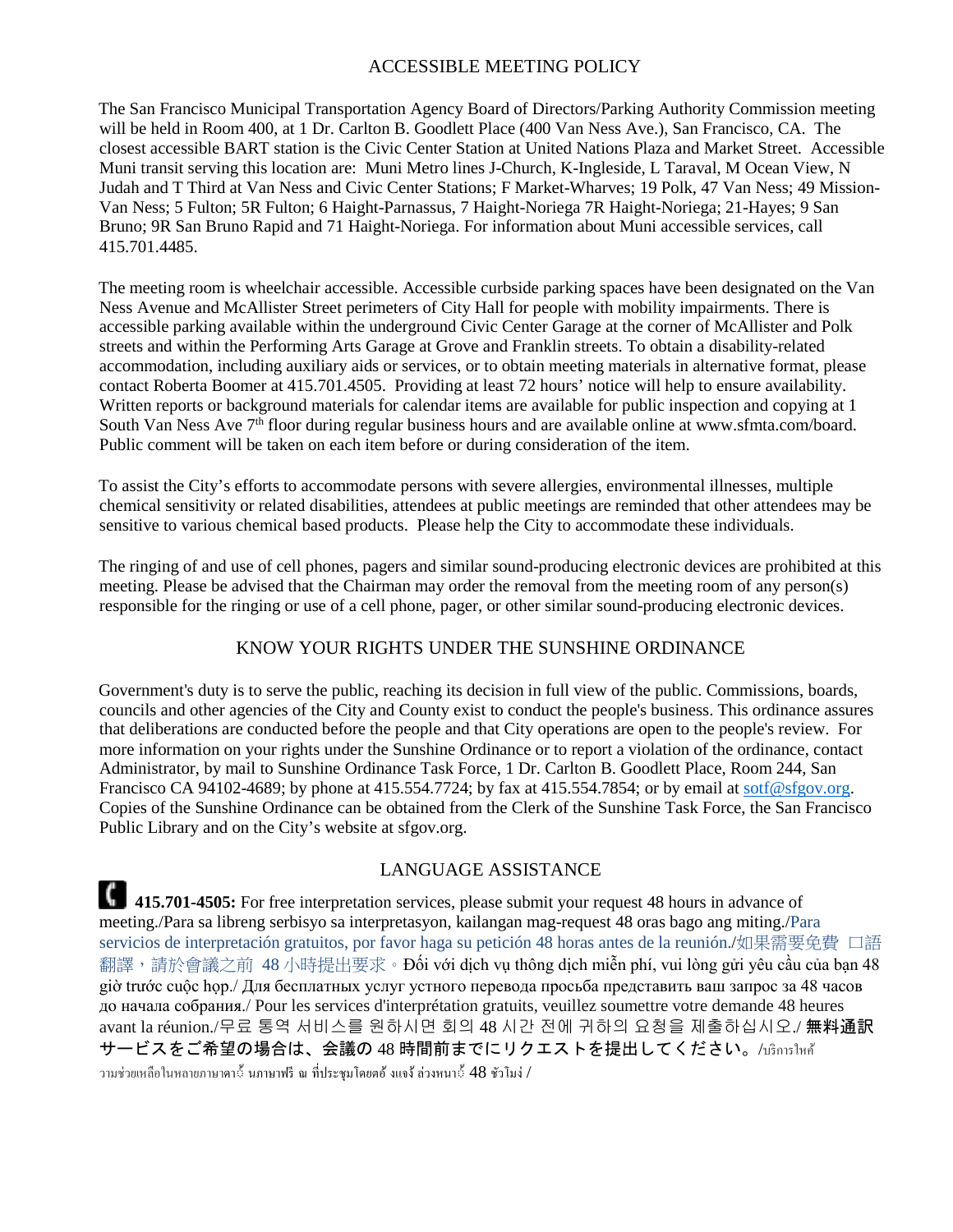#### ACCESSIBLE MEETING POLICY

The San Francisco Municipal Transportation Agency Board of Directors/Parking Authority Commission meeting will be held in Room 400, at 1 Dr. Carlton B. Goodlett Place (400 Van Ness Ave.), San Francisco, CA. The closest accessible BART station is the Civic Center Station at United Nations Plaza and Market Street. Accessible Muni transit serving this location are: Muni Metro lines J-Church, K-Ingleside, L Taraval, M Ocean View, N Judah and T Third at Van Ness and Civic Center Stations; F Market-Wharves; 19 Polk, 47 Van Ness; 49 Mission-Van Ness; 5 Fulton; 5R Fulton; 6 Haight-Parnassus, 7 Haight-Noriega 7R Haight-Noriega; 21-Hayes; 9 San Bruno; 9R San Bruno Rapid and 71 Haight-Noriega. For information about Muni accessible services, call 415.701.4485.

The meeting room is wheelchair accessible. Accessible curbside parking spaces have been designated on the Van Ness Avenue and McAllister Street perimeters of City Hall for people with mobility impairments. There is accessible parking available within the underground Civic Center Garage at the corner of McAllister and Polk streets and within the Performing Arts Garage at Grove and Franklin streets. To obtain a disability-related accommodation, including auxiliary aids or services, or to obtain meeting materials in alternative format, please contact Roberta Boomer at 415.701.4505. Providing at least 72 hours' notice will help to ensure availability. Written reports or background materials for calendar items are available for public inspection and copying at 1 South Van Ness Ave 7<sup>th</sup> floor during regular business hours and are available online at www.sfmta.com/board. Public comment will be taken on each item before or during consideration of the item.

To assist the City's efforts to accommodate persons with severe allergies, environmental illnesses, multiple chemical sensitivity or related disabilities, attendees at public meetings are reminded that other attendees may be sensitive to various chemical based products. Please help the City to accommodate these individuals.

The ringing of and use of cell phones, pagers and similar sound-producing electronic devices are prohibited at this meeting. Please be advised that the Chairman may order the removal from the meeting room of any person(s) responsible for the ringing or use of a cell phone, pager, or other similar sound-producing electronic devices.

### KNOW YOUR RIGHTS UNDER THE SUNSHINE ORDINANCE

Government's duty is to serve the public, reaching its decision in full view of the public. Commissions, boards, councils and other agencies of the City and County exist to conduct the people's business. This ordinance assures that deliberations are conducted before the people and that City operations are open to the people's review. For more information on your rights under the Sunshine Ordinance or to report a violation of the ordinance, contact Administrator, by mail to Sunshine Ordinance Task Force, 1 Dr. Carlton B. Goodlett Place, Room 244, San Francisco CA 94102-4689; by phone at 415.554.7724; by fax at 415.554.7854; or by email at sotf@sfgov.org. Copies of the Sunshine Ordinance can be obtained from the Clerk of the Sunshine Task Force, the San Francisco Public Library and on the City's website at sfgov.org.

### LANGUAGE ASSISTANCE

415.701-4505: For free interpretation services, please submit your request 48 hours in advance of meeting./Para sa libreng serbisyo sa interpretasyon, kailangan mag-request 48 oras bago ang miting./Para servicios de interpretación gratuitos, por favor haga su petición 48 horas antes de la reunión./如果需要免費 口語 翻譯,請於會議之前 48 小時提出要求。Đối với dịch vụ thông dịch miễn phí, vui lòng gửi yêu cầu của bạn 48 giờ trước cuộc họp./ Для бесплатных услуг устного перевода просьба представить ваш запрос за 48 часов до начала собрания./ Pour les services d'interprétation gratuits, veuillez soumettre votre demande 48 heures avant la réunion./무료 통역 서비스를 원하시면 회의 48 시간 전에 귀하의 요청을 제출하십시오./ 無料通訳 サービスをご希望の場合は、会議の 48 時間前までにリクエストを提出してください。/บริการใหค้ วามช่วยเหลือในหลายภาษาดา $\stackrel{*}{\sim}$  นภาษาฟรี ณ ที่ประชุมโดยตอ้ งแจง้ ล่วงหนา $\stackrel{*}{\sim}48$  ชัวโมง่ /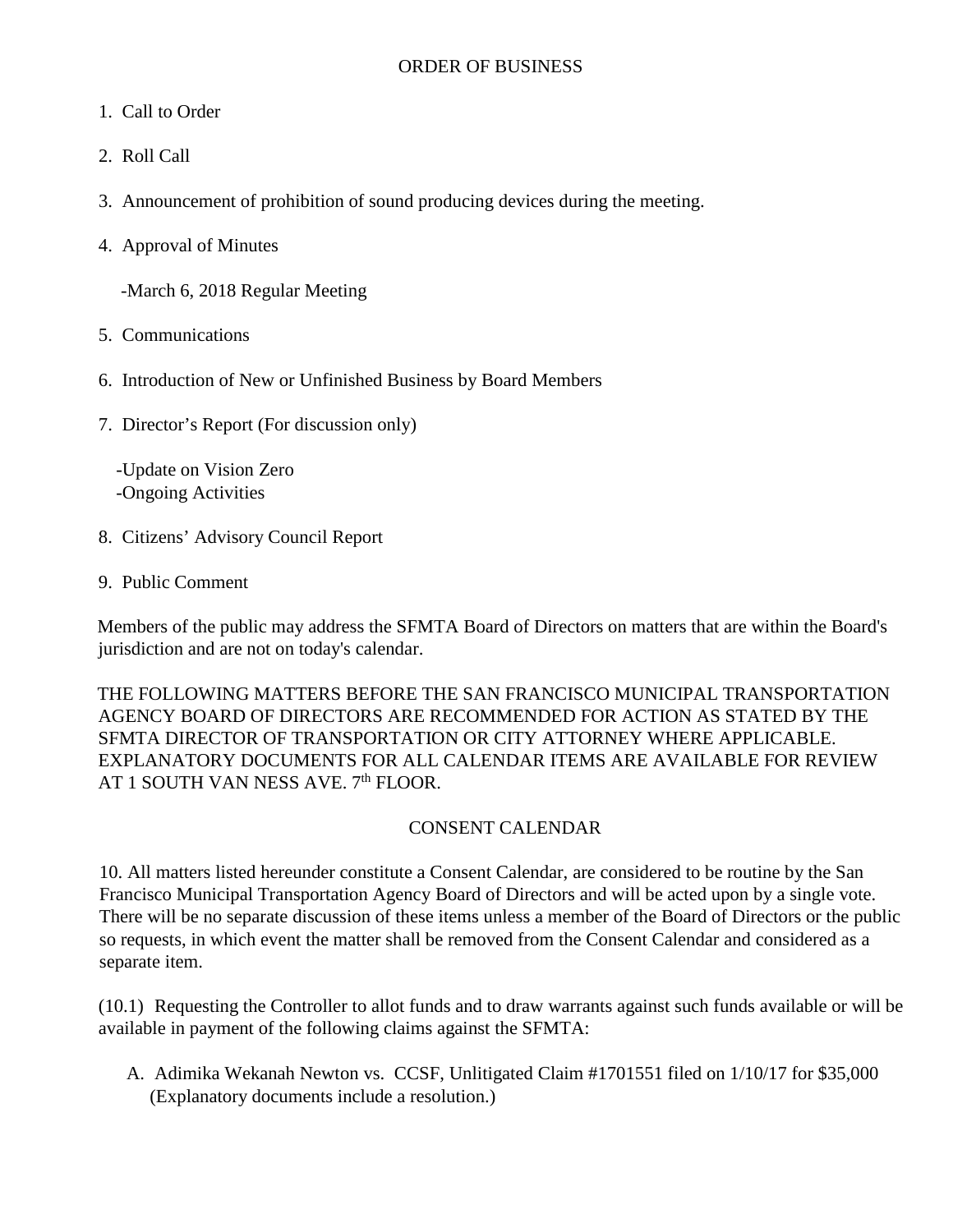- 1. Call to Order
- 2. Roll Call
- 3. Announcement of prohibition of sound producing devices during the meeting.
- 4. Approval of Minutes

-March 6, 2018 Regular Meeting

- 5. Communications
- 6. Introduction of New or Unfinished Business by Board Members
- 7. Director's Report (For discussion only)

 -Update on Vision Zero -Ongoing Activities

- 8. Citizens' Advisory Council Report
- 9. Public Comment

Members of the public may address the SFMTA Board of Directors on matters that are within the Board's jurisdiction and are not on today's calendar.

THE FOLLOWING MATTERS BEFORE THE SAN FRANCISCO MUNICIPAL TRANSPORTATION AGENCY BOARD OF DIRECTORS ARE RECOMMENDED FOR ACTION AS STATED BY THE SFMTA DIRECTOR OF TRANSPORTATION OR CITY ATTORNEY WHERE APPLICABLE. EXPLANATORY DOCUMENTS FOR ALL CALENDAR ITEMS ARE AVAILABLE FOR REVIEW AT 1 SOUTH VAN NESS AVE. 7<sup>th</sup> FLOOR.

### CONSENT CALENDAR

10. All matters listed hereunder constitute a Consent Calendar, are considered to be routine by the San Francisco Municipal Transportation Agency Board of Directors and will be acted upon by a single vote. There will be no separate discussion of these items unless a member of the Board of Directors or the public so requests, in which event the matter shall be removed from the Consent Calendar and considered as a separate item.

(10.1) Requesting the Controller to allot funds and to draw warrants against such funds available or will be available in payment of the following claims against the SFMTA:

A. Adimika Wekanah Newton vs. CCSF, Unlitigated Claim #1701551 filed on 1/10/17 for \$35,000 (Explanatory documents include a resolution.)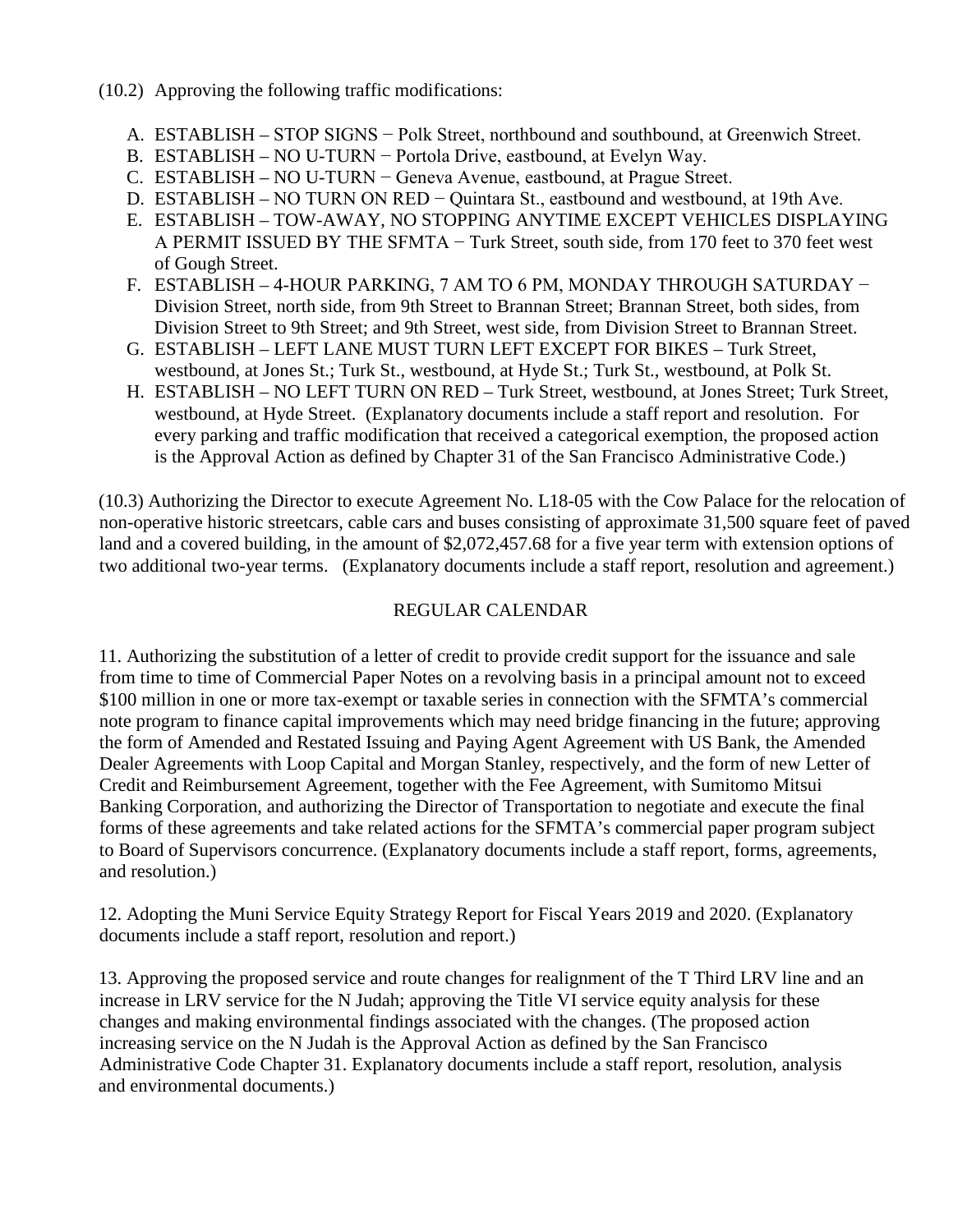- (10.2) Approving the following traffic modifications:
	- A. ESTABLISH STOP SIGNS − Polk Street, northbound and southbound, at Greenwich Street.
	- B. ESTABLISH NO U-TURN − Portola Drive, eastbound, at Evelyn Way.
	- C. ESTABLISH NO U-TURN − Geneva Avenue, eastbound, at Prague Street.
	- D. ESTABLISH NO TURN ON RED Quintara St., eastbound and westbound, at 19th Ave.
	- E. ESTABLISH TOW-AWAY, NO STOPPING ANYTIME EXCEPT VEHICLES DISPLAYING A PERMIT ISSUED BY THE SFMTA − Turk Street, south side, from 170 feet to 370 feet west of Gough Street.
	- F. ESTABLISH 4-HOUR PARKING, 7 AM TO 6 PM, MONDAY THROUGH SATURDAY − Division Street, north side, from 9th Street to Brannan Street; Brannan Street, both sides, from Division Street to 9th Street; and 9th Street, west side, from Division Street to Brannan Street.
	- G. ESTABLISH LEFT LANE MUST TURN LEFT EXCEPT FOR BIKES Turk Street, westbound, at Jones St.; Turk St., westbound, at Hyde St.; Turk St., westbound, at Polk St.
	- H. ESTABLISH NO LEFT TURN ON RED Turk Street, westbound, at Jones Street; Turk Street, westbound, at Hyde Street. (Explanatory documents include a staff report and resolution. For every parking and traffic modification that received a categorical exemption, the proposed action is the Approval Action as defined by Chapter 31 of the San Francisco Administrative Code.)

(10.3) Authorizing the Director to execute Agreement No. L18-05 with the Cow Palace for the relocation of non-operative historic streetcars, cable cars and buses consisting of approximate 31,500 square feet of paved land and a covered building, in the amount of \$2,072,457.68 for a five year term with extension options of two additional two-year terms. (Explanatory documents include a staff report, resolution and agreement.)

## REGULAR CALENDAR

11. Authorizing the substitution of a letter of credit to provide credit support for the issuance and sale from time to time of Commercial Paper Notes on a revolving basis in a principal amount not to exceed \$100 million in one or more tax-exempt or taxable series in connection with the SFMTA's commercial note program to finance capital improvements which may need bridge financing in the future; approving the form of Amended and Restated Issuing and Paying Agent Agreement with US Bank, the Amended Dealer Agreements with Loop Capital and Morgan Stanley, respectively, and the form of new Letter of Credit and Reimbursement Agreement, together with the Fee Agreement, with Sumitomo Mitsui Banking Corporation, and authorizing the Director of Transportation to negotiate and execute the final forms of these agreements and take related actions for the SFMTA's commercial paper program subject to Board of Supervisors concurrence. (Explanatory documents include a staff report, forms, agreements, and resolution.)

12. Adopting the Muni Service Equity Strategy Report for Fiscal Years 2019 and 2020. (Explanatory documents include a staff report, resolution and report.)

13. Approving the proposed service and route changes for realignment of the T Third LRV line and an increase in LRV service for the N Judah; approving the Title VI service equity analysis for these changes and making environmental findings associated with the changes. (The proposed action increasing service on the N Judah is the Approval Action as defined by the San Francisco Administrative Code Chapter 31. Explanatory documents include a staff report, resolution, analysis and environmental documents.)